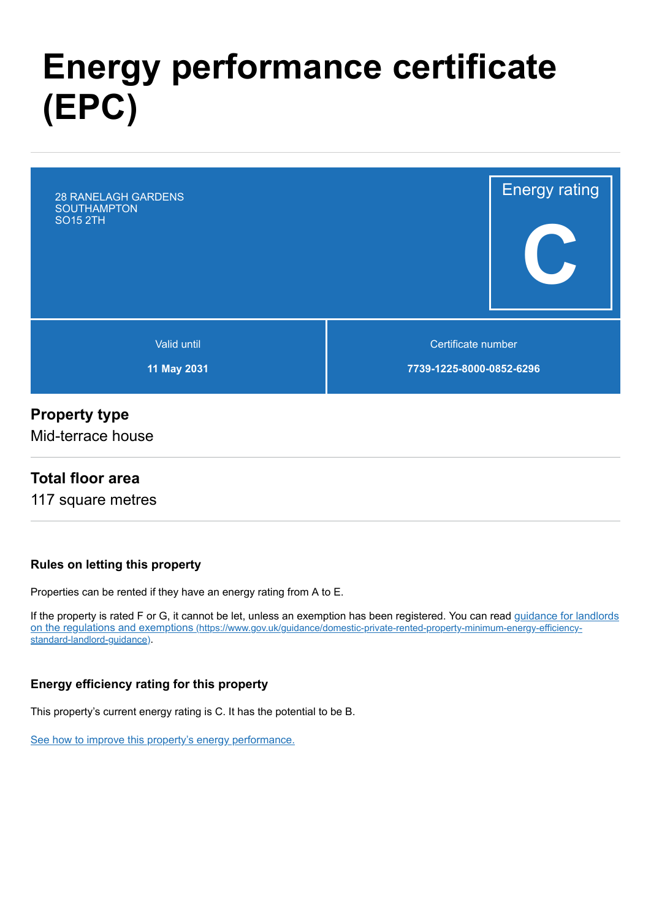# **Energy performance certificate (EPC)**



### **Property type**

Mid-terrace house

### **Total floor area**

117 square metres

#### **Rules on letting this property**

Properties can be rented if they have an energy rating from A to E.

[If the property is rated F or G, it cannot be let, unless an exemption has been registered. You can read guidance for landlords](https://www.gov.uk/guidance/domestic-private-rented-property-minimum-energy-efficiency-standard-landlord-guidance) on the regulations and exemptions (https://www.gov.uk/guidance/domestic-private-rented-property-minimum-energy-efficiencystandard-landlord-guidance).

#### **Energy efficiency rating for this property**

This property's current energy rating is C. It has the potential to be B.

[See how to improve this property's energy performance.](#page-3-0)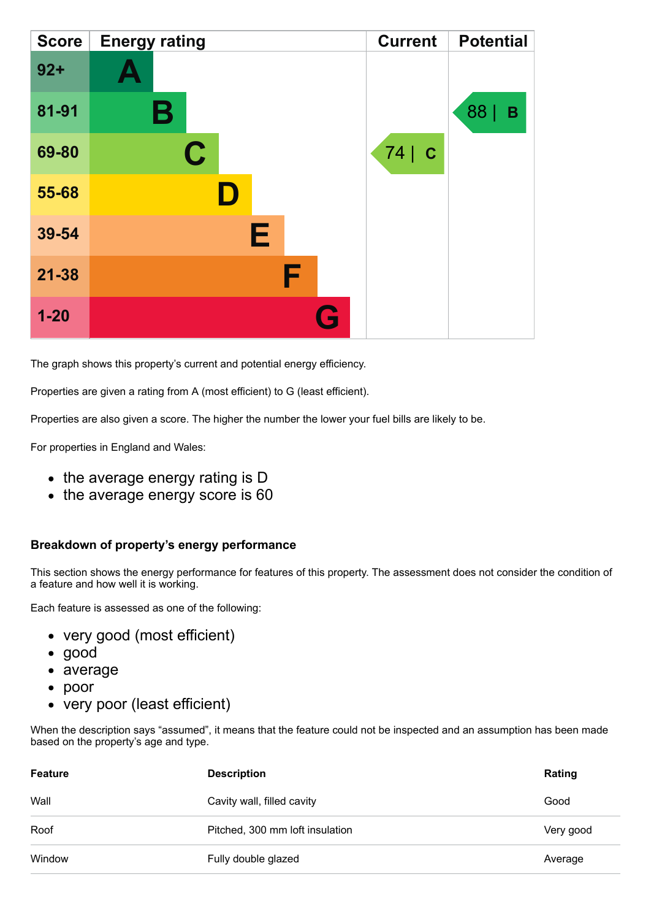| <b>Score</b> | <b>Energy rating</b> |   | <b>Current</b> | <b>Potential</b> |
|--------------|----------------------|---|----------------|------------------|
| $92 +$       | <b>A</b>             |   |                |                  |
| 81-91        | Β                    |   |                | 88<br>B          |
| 69-80        | $\mathbf C$          |   | 74 c           |                  |
| 55-68        |                      |   |                |                  |
| 39-54        | Е                    |   |                |                  |
| $21 - 38$    |                      | F |                |                  |
| $1 - 20$     |                      | G |                |                  |

The graph shows this property's current and potential energy efficiency.

Properties are given a rating from A (most efficient) to G (least efficient).

Properties are also given a score. The higher the number the lower your fuel bills are likely to be.

For properties in England and Wales:

- the average energy rating is D
- the average energy score is 60

#### **Breakdown of property's energy performance**

This section shows the energy performance for features of this property. The assessment does not consider the condition of a feature and how well it is working.

Each feature is assessed as one of the following:

- very good (most efficient)
- good
- average
- poor
- very poor (least efficient)

When the description says "assumed", it means that the feature could not be inspected and an assumption has been made based on the property's age and type.

| Feature | <b>Description</b>              | Rating    |
|---------|---------------------------------|-----------|
| Wall    | Cavity wall, filled cavity      | Good      |
| Roof    | Pitched, 300 mm loft insulation | Very good |
| Window  | Fully double glazed             | Average   |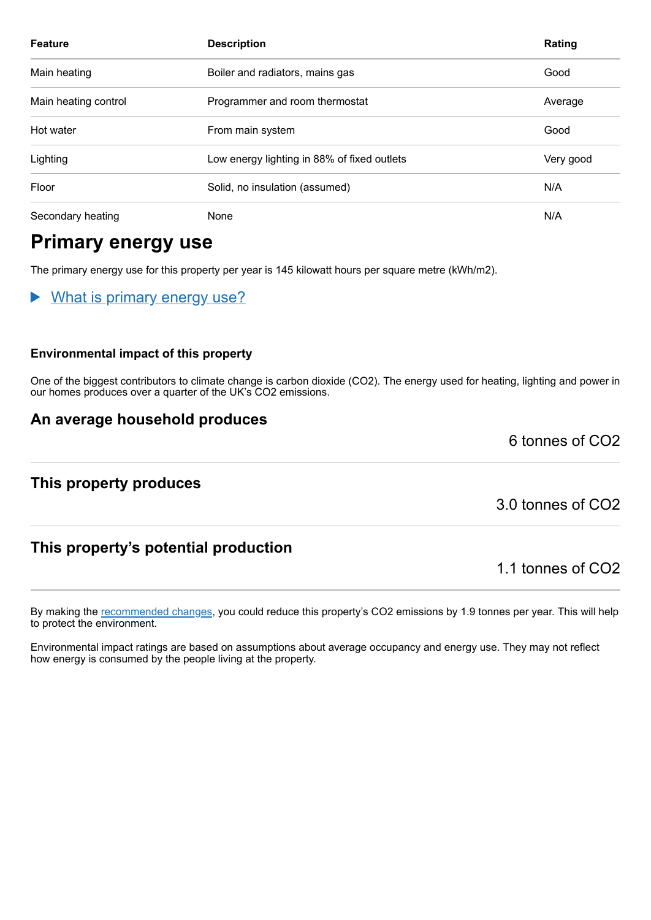| <b>Feature</b>       | <b>Description</b>                          | Rating    |
|----------------------|---------------------------------------------|-----------|
| Main heating         | Boiler and radiators, mains gas             | Good      |
| Main heating control | Programmer and room thermostat              | Average   |
| Hot water            | From main system                            | Good      |
| Lighting             | Low energy lighting in 88% of fixed outlets | Very good |
| Floor                | Solid, no insulation (assumed)              | N/A       |
| Secondary heating    | None                                        | N/A       |

# **Primary energy use**

The primary energy use for this property per year is 145 kilowatt hours per square metre (kWh/m2).

What is primary energy use?

#### **Environmental impact of this property**

One of the biggest contributors to climate change is carbon dioxide (CO2). The energy used for heating, lighting and power in our homes produces over a quarter of the UK's CO2 emissions.

#### **An average household produces**

**This property produces**

3.0 tonnes of CO2

6 tonnes of CO2

### **This property's potential production**

1.1 tonnes of CO2

By making the [recommended changes,](#page-3-0) you could reduce this property's CO2 emissions by 1.9 tonnes per year. This will help to protect the environment.

Environmental impact ratings are based on assumptions about average occupancy and energy use. They may not reflect how energy is consumed by the people living at the property.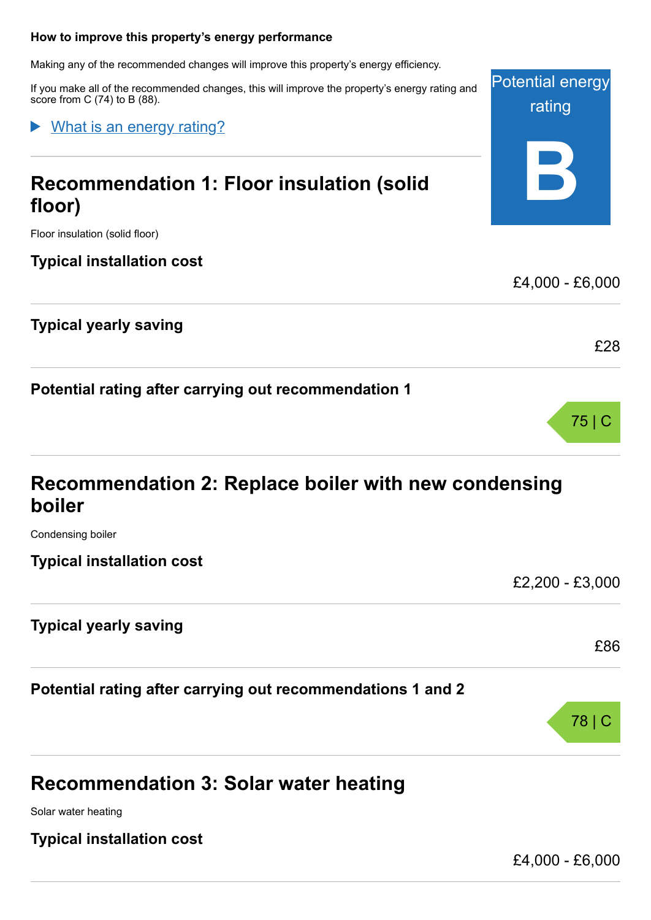#### <span id="page-3-0"></span>**How to improve this property's energy performance**

Making any of the recommended changes will improve this property's energy efficiency.

If you make all of the recommended changes, this will improve the property's energy rating and score from C (74) to B (88).

What is an energy rating?

# **Recommendation 1: Floor insulation (solid floor)**

Floor insulation (solid floor)

#### **Typical installation cost**

### **Typical yearly saving**

**Potential rating after carrying out recommendation 1**

## **Recommendation 2: Replace boiler with new condensing boiler**

Condensing boiler

**Typical installation cost**

**Typical yearly saving**

**Potential rating after carrying out recommendations 1 and 2**

# **Recommendation 3: Solar water heating**

Solar water heating

#### **Typical installation cost**

£4,000 - £6,000

78 | C



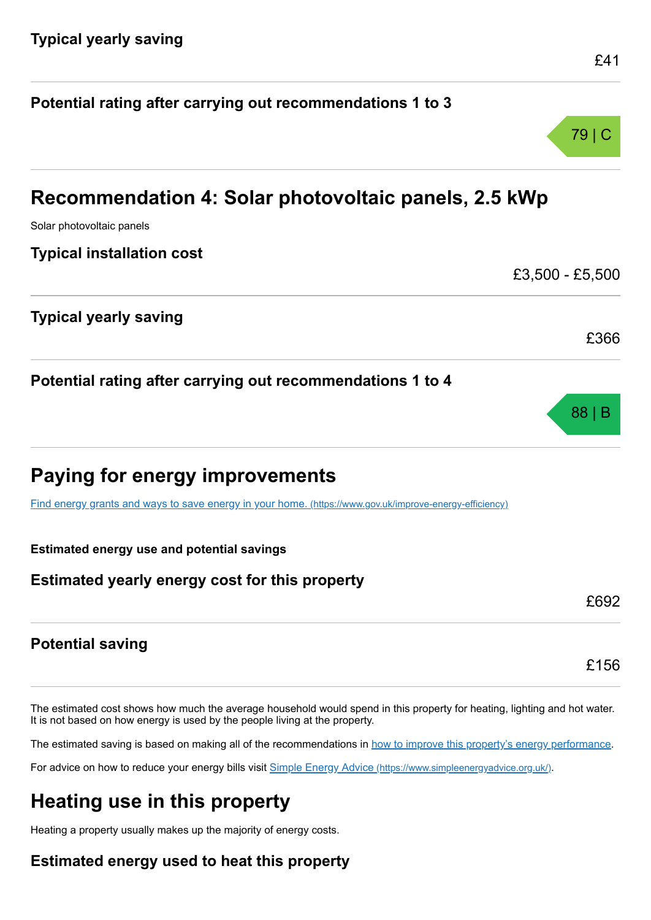|                                                                                                         | 79   C          |  |  |  |  |  |
|---------------------------------------------------------------------------------------------------------|-----------------|--|--|--|--|--|
| Recommendation 4: Solar photovoltaic panels, 2.5 kWp                                                    |                 |  |  |  |  |  |
| Solar photovoltaic panels                                                                               |                 |  |  |  |  |  |
| <b>Typical installation cost</b>                                                                        |                 |  |  |  |  |  |
|                                                                                                         | £3,500 - £5,500 |  |  |  |  |  |
| <b>Typical yearly saving</b>                                                                            |                 |  |  |  |  |  |
|                                                                                                         | £366            |  |  |  |  |  |
| Potential rating after carrying out recommendations 1 to 4                                              |                 |  |  |  |  |  |
|                                                                                                         | 88 B            |  |  |  |  |  |
| Paying for energy improvements                                                                          |                 |  |  |  |  |  |
| Find energy grants and ways to save energy in your home. (https://www.gov.uk/improve-energy-efficiency) |                 |  |  |  |  |  |
| <b>Estimated energy use and potential savings</b>                                                       |                 |  |  |  |  |  |
| Estimated yearly energy cost for this property                                                          |                 |  |  |  |  |  |
|                                                                                                         | £692            |  |  |  |  |  |
| <b>Potential saving</b>                                                                                 |                 |  |  |  |  |  |

**Potential rating after carrying out recommendations 1 to 3**

The estimated cost shows how much the average household would spend in this property for heating, lighting and hot water. It is not based on how energy is used by the people living at the property.

The estimated saving is based on making all of the recommendations in [how to improve this property's energy performance.](#page-3-0)

For advice on how to reduce your energy bills visit Simple Energy Advice [\(https://www.simpleenergyadvice.org.uk/\)](https://www.simpleenergyadvice.org.uk/).

# **Heating use in this property**

Heating a property usually makes up the majority of energy costs.

### **Estimated energy used to heat this property**

£156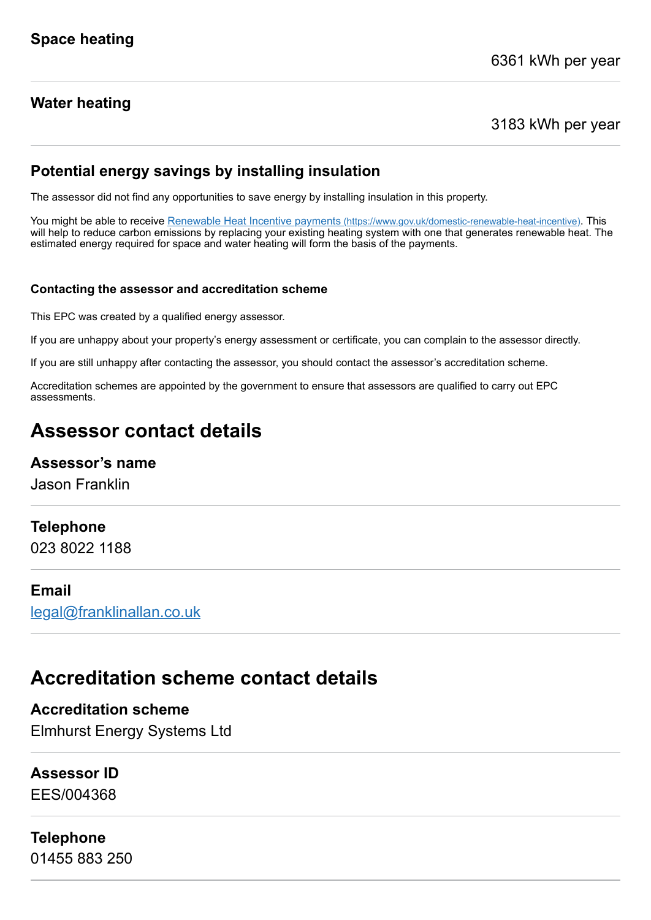### **Water heating**

3183 kWh per year

### **Potential energy savings by installing insulation**

The assessor did not find any opportunities to save energy by installing insulation in this property.

You might be able to receive Renewable Heat Incentive payments [\(https://www.gov.uk/domestic-renewable-heat-incentive\)](https://www.gov.uk/domestic-renewable-heat-incentive). This will help to reduce carbon emissions by replacing your existing heating system with one that generates renewable heat. The estimated energy required for space and water heating will form the basis of the payments.

#### **Contacting the assessor and accreditation scheme**

This EPC was created by a qualified energy assessor.

If you are unhappy about your property's energy assessment or certificate, you can complain to the assessor directly.

If you are still unhappy after contacting the assessor, you should contact the assessor's accreditation scheme.

Accreditation schemes are appointed by the government to ensure that assessors are qualified to carry out EPC assessments.

# **Assessor contact details**

#### **Assessor's name**

Jason Franklin

#### **Telephone**

023 8022 1188

#### **Email**

[legal@franklinallan.co.uk](mailto:legal@franklinallan.co.uk)

## **Accreditation scheme contact details**

**Accreditation scheme** Elmhurst Energy Systems Ltd

#### **Assessor ID**

EES/004368

#### **Telephone**

01455 883 250